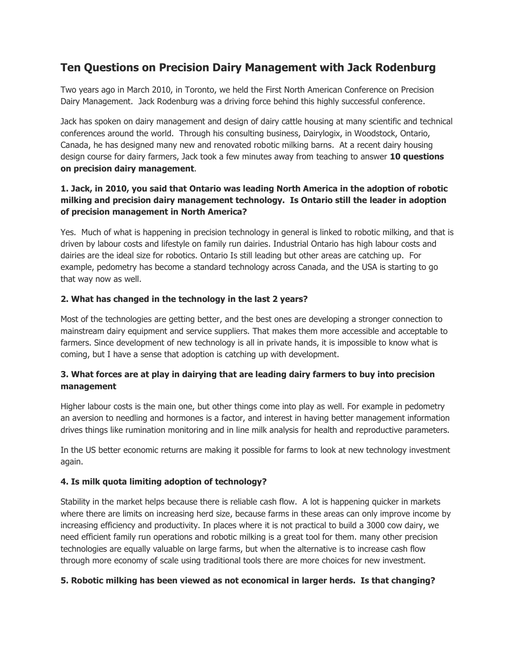# **Ten Questions on Precision Dairy Management with Jack Rodenburg**

Two years ago in March 2010, in Toronto, we held the First North American Conference on Precision Dairy Management. Jack Rodenburg was a driving force behind this highly successful conference.

Jack has spoken on dairy management and design of dairy cattle housing at many scientific and technical conferences around the world. Through his consulting business, Dairylogix, in Woodstock, Ontario, Canada, he has designed many new and renovated robotic milking barns. At a recent dairy housing design course for dairy farmers, Jack took a few minutes away from teaching to answer **10 questions on precision dairy management**.

# **1. Jack, in 2010, you said that Ontario was leading North America in the adoption of robotic milking and precision dairy management technology. Is Ontario still the leader in adoption of precision management in North America?**

Yes. Much of what is happening in precision technology in general is linked to robotic milking, and that is driven by labour costs and lifestyle on family run dairies. Industrial Ontario has high labour costs and dairies are the ideal size for robotics. Ontario Is still leading but other areas are catching up. For example, pedometry has become a standard technology across Canada, and the USA is starting to go that way now as well.

## **2. What has changed in the technology in the last 2 years?**

Most of the technologies are getting better, and the best ones are developing a stronger connection to mainstream dairy equipment and service suppliers. That makes them more accessible and acceptable to farmers. Since development of new technology is all in private hands, it is impossible to know what is coming, but I have a sense that adoption is catching up with development.

# **3. What forces are at play in dairying that are leading dairy farmers to buy into precision management**

Higher labour costs is the main one, but other things come into play as well. For example in pedometry an aversion to needling and hormones is a factor, and interest in having better management information drives things like rumination monitoring and in line milk analysis for health and reproductive parameters.

In the US better economic returns are making it possible for farms to look at new technology investment again.

## **4. Is milk quota limiting adoption of technology?**

Stability in the market helps because there is reliable cash flow. A lot is happening quicker in markets where there are limits on increasing herd size, because farms in these areas can only improve income by increasing efficiency and productivity. In places where it is not practical to build a 3000 cow dairy, we need efficient family run operations and robotic milking is a great tool for them. many other precision technologies are equally valuable on large farms, but when the alternative is to increase cash flow through more economy of scale using traditional tools there are more choices for new investment.

## **5. Robotic milking has been viewed as not economical in larger herds. Is that changing?**